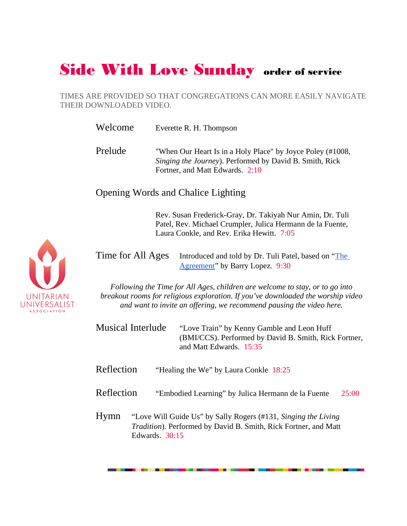## Side With Love Sunday order of service

TIMES ARE PROVIDED SO THAT CONGREGATIONS CAN MORE EASILY NAVIGATE THEIR DOWNLOADED VIDEO.

Welcome Everette R. H. Thompson

Prelude "When Our Heart Is in a Holy Place" by Joyce Poley (#1008, Singing the Journey). Performed by David B. Smith, Rick Fortner, and Matt Edwards. 2:10

Opening Words and Chalice Lighting

Rev. Susan Frederick-Gray, Dr. Takiyah Nur Amin, Dr. Tuli Patel, Rev. Michael Crumpler, Julica Hermann de la Fuente, Laura Conkle, and Rev. Erika Hewitt. 7:05

Time for All Ages Introduced and told by Dr. Tuli Patel, based on "The Agreement" by Barry Lopez. 9:30

Following the Time for All Ages, children are welcome to stay, or to go into breakout rooms for religious exploration. If you've downloaded the worship video and want to invite an offering, we recommend pausing the video here.

Musical Interlude "Love Train" by Kenny Gamble and Leon Huff (BMI/CCS). Performed by David B. Smith, Rick Fortner, and Matt Edwards. 15:35

Reflection "Healing the We" by Laura Conkle 18:25

Reflection "Embodied Learning" by Julica Hermann de la Fuente 25:00

Hymn "Love Will Guide Us" by Sally Rogers (#131, Singing the Living Tradition). Performed by David B. Smith, Rick Fortner, and Matt Edwards. 30:15

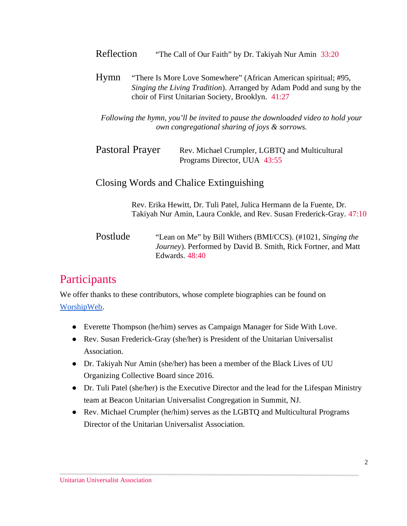| Reflection                              | "The Call of Our Faith" by Dr. Takiyah Nur Amin 33:20                                                                                                                                         |
|-----------------------------------------|-----------------------------------------------------------------------------------------------------------------------------------------------------------------------------------------------|
| Hymn                                    | "There Is More Love Somewhere" (African American spiritual; #95,<br>Singing the Living Tradition). Arranged by Adam Podd and sung by the<br>choir of First Unitarian Society, Brooklyn. 41:27 |
|                                         | Following the hymn, you'll be invited to pause the downloaded video to hold your<br>own congregational sharing of joys & sorrows.                                                             |
| Pastoral Prayer                         | Rev. Michael Crumpler, LGBTQ and Multicultural<br>Programs Director, UUA 43:55                                                                                                                |
| Closing Words and Chalice Extinguishing |                                                                                                                                                                                               |
|                                         | Rev. Erika Hewitt, Dr. Tuli Patel, Julica Hermann de la Fuente, Dr.<br>Takiyah Nur Amin, Laura Conkle, and Rev. Susan Frederick-Gray. 47:10                                                   |
| Postlude                                | "Lean on Me" by Bill Withers (BMI/CCS). (#1021, Singing the<br>Journey). Performed by David B. Smith, Rick Fortner, and Matt<br><b>Edwards</b> . 48:40                                        |
| Participants                            |                                                                                                                                                                                               |
| WorshipWeb.                             | We offer thanks to these contributors, whose complete biographies can be found on                                                                                                             |

- Everette Thompson (he/him) serves as Campaign Manager for Side With Love.
- Rev. Susan Frederick-Gray (she/her) is President of the Unitarian Universalist Association.
- Dr. Takiyah Nur Amin (she/her) has been a member of the Black Lives of UU Organizing Collective Board since 2016.
- Dr. Tuli Patel (she/her) is the Executive Director and the lead for the Lifespan Ministry team at Beacon Unitarian Universalist Congregation in Summit, NJ.
- Rev. Michael Crumpler (he/him) serves as the LGBTQ and Multicultural Programs Director of the Unitarian Universalist Association.